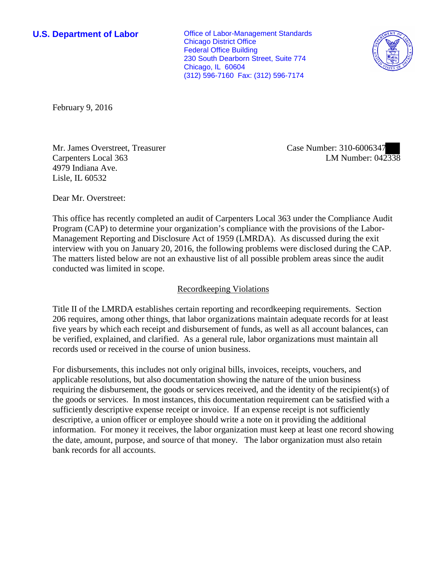**U.S. Department of Labor Conservative Conservative Conservative Conservative Conservative Conservative Conservative Conservative Conservative Conservative Conservative Conservative Conservative Conservative Conservative** Chicago District Office Federal Office Building 230 South Dearborn Street, Suite 774 Chicago, IL 60604 (312) 596-7160 Fax: (312) 596-7174



February 9, 2016

Mr. James Overstreet, Treasurer Carpenters Local 363 4979 Indiana Ave. Lisle, IL 60532

Case Number: 310-6006347 LM Number: 042338

Dear Mr. Overstreet:

This office has recently completed an audit of Carpenters Local 363 under the Compliance Audit Program (CAP) to determine your organization's compliance with the provisions of the Labor-Management Reporting and Disclosure Act of 1959 (LMRDA). As discussed during the exit interview with you on January 20, 2016, the following problems were disclosed during the CAP. The matters listed below are not an exhaustive list of all possible problem areas since the audit conducted was limited in scope.

## Recordkeeping Violations

Title II of the LMRDA establishes certain reporting and recordkeeping requirements. Section 206 requires, among other things, that labor organizations maintain adequate records for at least five years by which each receipt and disbursement of funds, as well as all account balances, can be verified, explained, and clarified. As a general rule, labor organizations must maintain all records used or received in the course of union business.

For disbursements, this includes not only original bills, invoices, receipts, vouchers, and applicable resolutions, but also documentation showing the nature of the union business requiring the disbursement, the goods or services received, and the identity of the recipient(s) of the goods or services. In most instances, this documentation requirement can be satisfied with a sufficiently descriptive expense receipt or invoice. If an expense receipt is not sufficiently descriptive, a union officer or employee should write a note on it providing the additional information. For money it receives, the labor organization must keep at least one record showing the date, amount, purpose, and source of that money. The labor organization must also retain bank records for all accounts.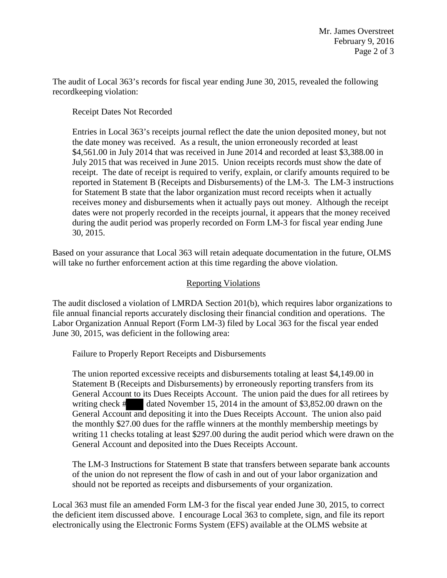The audit of Local 363's records for fiscal year ending June 30, 2015, revealed the following recordkeeping violation:

Receipt Dates Not Recorded

Entries in Local 363's receipts journal reflect the date the union deposited money, but not the date money was received. As a result, the union erroneously recorded at least \$4,561.00 in July 2014 that was received in June 2014 and recorded at least \$3,388.00 in July 2015 that was received in June 2015. Union receipts records must show the date of receipt. The date of receipt is required to verify, explain, or clarify amounts required to be reported in Statement B (Receipts and Disbursements) of the LM-3. The LM-3 instructions for Statement B state that the labor organization must record receipts when it actually receives money and disbursements when it actually pays out money. Although the receipt dates were not properly recorded in the receipts journal, it appears that the money received during the audit period was properly recorded on Form LM-3 for fiscal year ending June 30, 2015.

Based on your assurance that Local 363 will retain adequate documentation in the future, OLMS will take no further enforcement action at this time regarding the above violation.

## Reporting Violations

The audit disclosed a violation of LMRDA Section 201(b), which requires labor organizations to file annual financial reports accurately disclosing their financial condition and operations. The Labor Organization Annual Report (Form LM-3) filed by Local 363 for the fiscal year ended June 30, 2015, was deficient in the following area:

Failure to Properly Report Receipts and Disbursements

The union reported excessive receipts and disbursements totaling at least \$4,149.00 in Statement B (Receipts and Disbursements) by erroneously reporting transfers from its General Account to its Dues Receipts Account. The union paid the dues for all retirees by writing check # dated November 15, 2014 in the amount of \$3,852.00 drawn on the General Account and depositing it into the Dues Receipts Account. The union also paid the monthly \$27.00 dues for the raffle winners at the monthly membership meetings by writing 11 checks totaling at least \$297.00 during the audit period which were drawn on the General Account and deposited into the Dues Receipts Account.

The LM-3 Instructions for Statement B state that transfers between separate bank accounts of the union do not represent the flow of cash in and out of your labor organization and should not be reported as receipts and disbursements of your organization.

Local 363 must file an amended Form LM-3 for the fiscal year ended June 30, 2015, to correct the deficient item discussed above. I encourage Local 363 to complete, sign, and file its report electronically using the Electronic Forms System (EFS) available at the OLMS website at